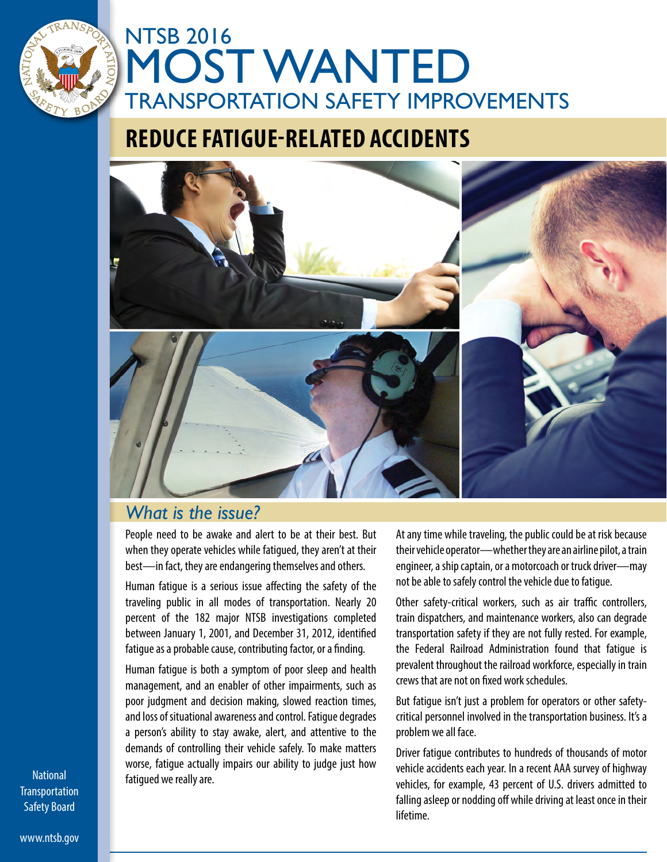

## **REDUCE FATIGUE-RELATED ACCIDENTS**



## *What is the issue?*

People need to be awake and alert to be at their best. But when they operate vehicles while fatigued, they aren't at their best—in fact, they are endangering themselves and others.

Human fatigue is a serious issue affecting the safety of the traveling public in all modes of transportation. Nearly 20 percent of the 182 major NTSB investigations completed between January 1, 2001, and December 31, 2012, identified fatigue as a probable cause, contributing factor, or a finding.

Human fatigue is both a symptom of poor sleep and health management, and an enabler of other impairments, such as poor judgment and decision making, slowed reaction times, and loss of situational awareness and control. Fatigue degrades a person's ability to stay awake, alert, and attentive to the demands of controlling their vehicle safely. To make matters worse, fatigue actually impairs our ability to judge just how fatigued we really are.

At any time while traveling, the public could be at risk because their vehicle operator—whether they are an airline pilot, a train engineer, a ship captain, or a motorcoach or truck driver—may not be able to safely control the vehicle due to fatigue.

Other safety-critical workers, such as air traffic controllers, train dispatchers, and maintenance workers, also can degrade transportation safety if they are not fully rested. For example, the Federal Railroad Administration found that fatigue is prevalent throughout the railroad workforce, especially in train crews that are not on fixed work schedules.

But fatigue isn't just a problem for operators or other safetycritical personnel involved in the transportation business. It's a problem we all face.

Driver fatigue contributes to hundreds of thousands of motor vehicle accidents each year. In a recent AAA survey of highway vehicles, for example, 43 percent of U.S. drivers admitted to falling asleep or nodding off while driving at least once in their lifetime.

**National Transportation** Safety Board